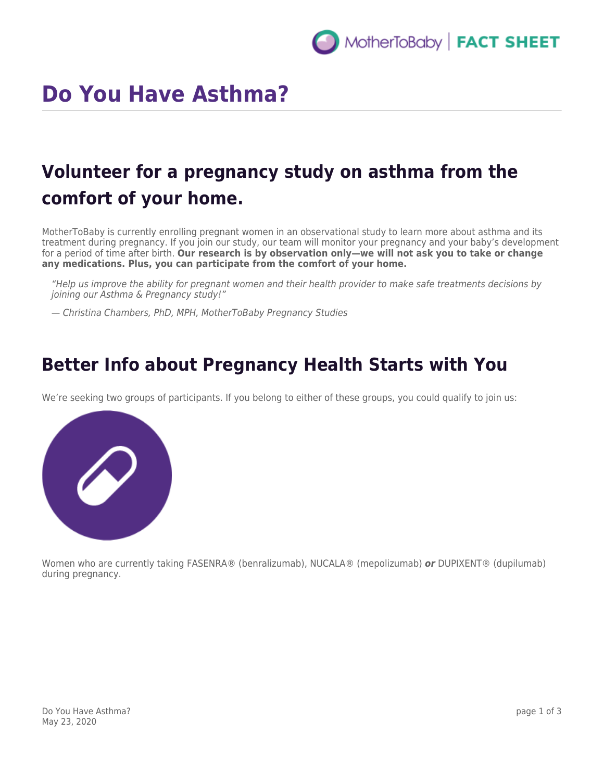# **Do You Have Asthma?**

# **Volunteer for a pregnancy study on asthma from the comfort of your home.**

MotherToBaby is currently enrolling pregnant women in an observational study to learn more about asthma and its treatment during pregnancy. If you join our study, our team will monitor your pregnancy and your baby's development for a period of time after birth. **Our research is by observation only—we will not ask you to take or change any medications. Plus, you can participate from the comfort of your home.**

"Help us improve the ability for pregnant women and their health provider to make safe treatments decisions by joining our Asthma & Pregnancy study!"

— Christina Chambers, PhD, MPH, MotherToBaby Pregnancy Studies

### **Better Info about Pregnancy Health Starts with You**

We're seeking two groups of participants. If you belong to either of these groups, you could qualify to join us:



Women who are currently taking FASENRA® (benralizumab), NUCALA® (mepolizumab) *or* DUPIXENT® (dupilumab) during pregnancy.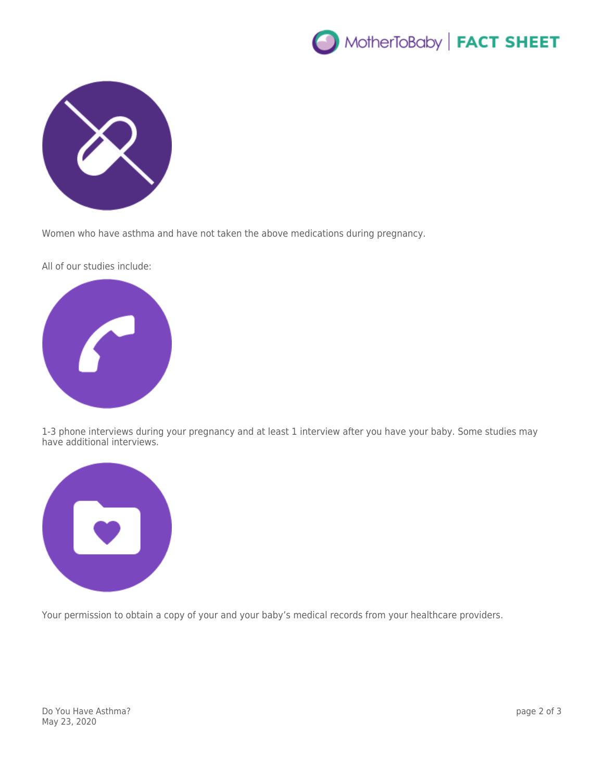



Women who have asthma and have not taken the above medications during pregnancy.

All of our studies include:



1-3 phone interviews during your pregnancy and at least 1 interview after you have your baby. Some studies may have additional interviews.



Your permission to obtain a copy of your and your baby's medical records from your healthcare providers.